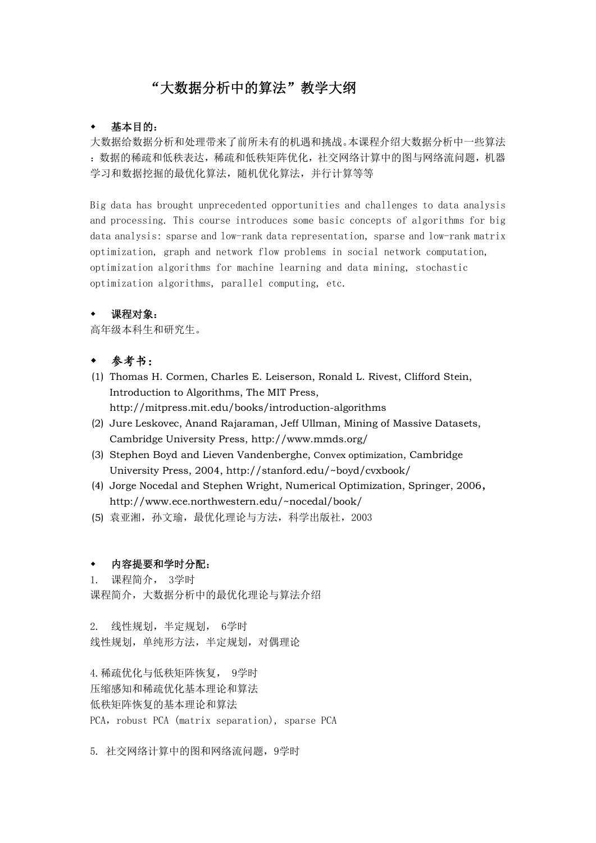# "大数据分析中的算法"教学大纲

## 基本目的:

大数据给数据分析和处理带来了前所未有的机遇和挑战。本课程介绍大数据分析中一些算法 :数据的稀疏和低秩表达,稀疏和低秩矩阵优化,社交网络计算中的图与网络流问题,机器 学习和数据挖掘的最优化算法,随机优化算法,并行计算等等

Big data has brought unprecedented opportunities and challenges to data analysis and processing. This course introduces some basic concepts of algorithms for big data analysis: sparse and low-rank data representation, sparse and low-rank matrix optimization, graph and network flow problems in social network computation, optimization algorithms for machine learning and data mining, stochastic optimization algorithms, parallel computing, etc.

## 课程对象:

高年级本科生和研究生。

## 参考书:

- (1) Thomas H. Cormen, Charles E. Leiserson, Ronald L. Rivest, Clifford Stein, Introduction to Algorithms, The MIT Press, http://mitpress.mit.edu/books/introduction-algorithms
- (2) Jure Leskovec, Anand Rajaraman, Jeff Ullman, Mining of Massive Datasets, Cambridge University Press, http://www.mmds.org/
- (3) Stephen Boyd and Lieven Vandenberghe, Convex optimization, Cambridge University Press, 2004, http://stanford.edu/~boyd/cvxbook/
- (4) Jorge Nocedal and Stephen Wright, Numerical Optimization, Springer, 2006, http://www.ece.northwestern.edu/~nocedal/book/
- (5) 袁亚湘,孙文瑜,最优化理论与方法,科学出版社,2003

### 内容提要和学时分配:

1. 课程简介, 3学时 课程简介,大数据分析中的最优化理论与算法介绍

2. 线性规划,半定规划, 6学时 线性规划,单纯形方法,半定规划,对偶理论

4.稀疏优化与低秩矩阵恢复, 9学时 压缩感知和稀疏优化基本理论和算法 低秩矩阵恢复的基本理论和算法 PCA, robust PCA (matrix separation), sparse PCA

5. 社交网络计算中的图和网络流问题,9学时